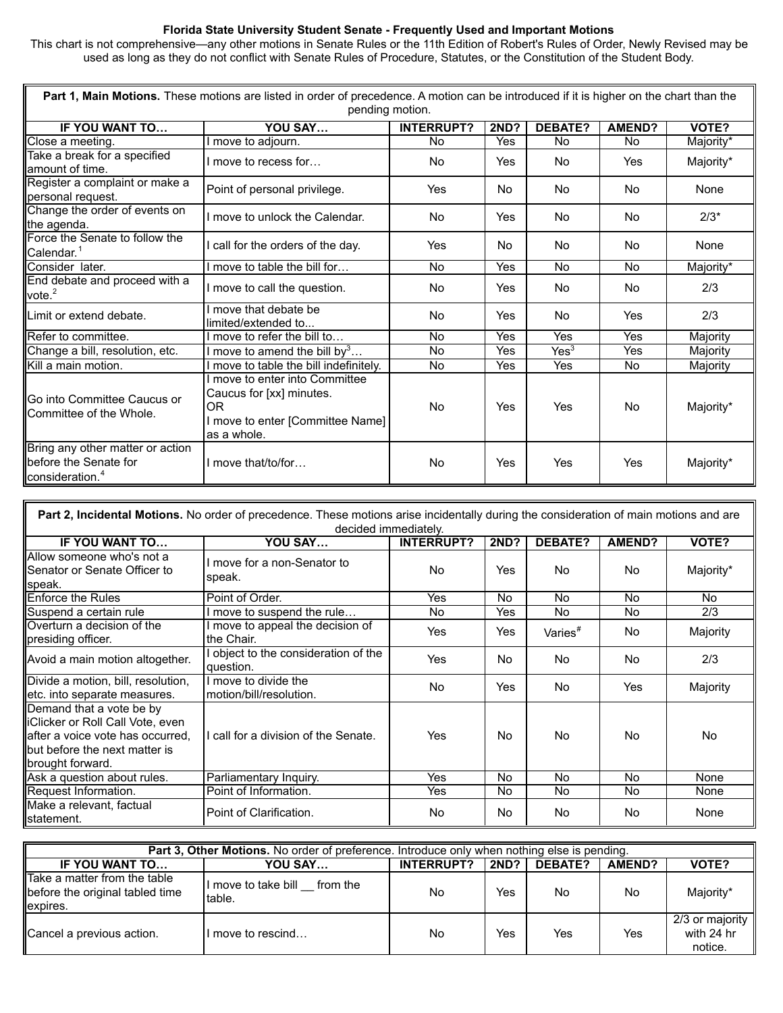## **Florida State University Student Senate - Frequently Used and Important Motions**

This chart is not comprehensive—any other motions in Senate Rules or the 11th Edition of Robert's Rules of Order, Newly Revised may be used as long as they do not conflict with Senate Rules of Procedure, Statutes, or the Constitution of the Student Body.

| Part 1, Main Motions. These motions are listed in order of precedence. A motion can be introduced if it is higher on the chart than the |                                                                                                                    |                   |                |                  |               |           |  |
|-----------------------------------------------------------------------------------------------------------------------------------------|--------------------------------------------------------------------------------------------------------------------|-------------------|----------------|------------------|---------------|-----------|--|
| pending motion.                                                                                                                         |                                                                                                                    |                   |                |                  |               |           |  |
| IF YOU WANT TO                                                                                                                          | YOU SAY                                                                                                            | <b>INTERRUPT?</b> | <b>2ND?</b>    | <b>DEBATE?</b>   | <b>AMEND?</b> | VOTE?     |  |
| Close a meeting.                                                                                                                        | move to adjourn.                                                                                                   | <b>No</b>         | Yes            | <b>No</b>        | <b>No</b>     | Majority* |  |
| Take a break for a specified<br>lamount of time.                                                                                        | move to recess for                                                                                                 | No.               | Yes            | No.              | Yes           | Majority* |  |
| Register a complaint or make a<br>personal request.                                                                                     | Point of personal privilege.                                                                                       | Yes               | No.            | <b>No</b>        | <b>No</b>     | None      |  |
| Change the order of events on<br>the agenda.                                                                                            | I move to unlock the Calendar.                                                                                     | No                | Yes            | <b>No</b>        | <b>No</b>     | $2/3*$    |  |
| Force the Senate to follow the<br>Calendar. <sup>1</sup>                                                                                | call for the orders of the day.                                                                                    | Yes               | N <sub>0</sub> | No               | No            | None      |  |
| Consider later.                                                                                                                         | I move to table the bill for                                                                                       | <b>No</b>         | Yes            | No               | No            | Majority* |  |
| End debate and proceed with a<br>vote. $2$                                                                                              | I move to call the question.                                                                                       | No                | Yes            | No               | No            | 2/3       |  |
| <b>II</b> Limit or extend debate.                                                                                                       | move that debate be<br>limited/extended to                                                                         | No                | Yes            | No               | Yes           | 2/3       |  |
| Refer to committee.                                                                                                                     | move to refer the bill to                                                                                          | <b>No</b>         | Yes            | Yes              | Yes           | Majority  |  |
| Change a bill, resolution, etc.                                                                                                         | I move to amend the bill by <sup>3</sup>                                                                           | <b>No</b>         | Yes            | Yes <sup>3</sup> | Yes           | Majority  |  |
| <b>I</b> Kill a main motion.                                                                                                            | move to table the bill indefinitely.                                                                               | No                | Yes            | Yes              | <b>No</b>     | Majority  |  |
| Go into Committee Caucus or<br>Committee of the Whole.                                                                                  | move to enter into Committee<br>Caucus for [xx] minutes.<br>OR.<br>I move to enter [Committee Name]<br>as a whole. | No                | Yes            | Yes              | No            | Majority* |  |
| Bring any other matter or action<br>before the Senate for<br>consideration. <sup>4</sup>                                                | I move that/to/for                                                                                                 | No                | Yes            | Yes              | Yes           | Majority* |  |

| <b>Part 2, Incidental Motions.</b> No order of precedence. These motions arise incidentally during the consideration of main motions and are            |                                                 |                   |             |                     |               |           |  |
|---------------------------------------------------------------------------------------------------------------------------------------------------------|-------------------------------------------------|-------------------|-------------|---------------------|---------------|-----------|--|
| decided immediately.                                                                                                                                    |                                                 |                   |             |                     |               |           |  |
| <b>IF YOU WANT TO</b>                                                                                                                                   | YOU SAY                                         | <b>INTERRUPT?</b> | <b>2ND?</b> | <b>DEBATE?</b>      | <b>AMEND?</b> | VOTE?     |  |
| Allow someone who's not a<br><b>I</b> Senator or Senate Officer to<br>speak.                                                                            | I move for a non-Senator to<br>speak.           | No.               | Yes         | No.                 | No.           | Majority* |  |
| <b>Enforce the Rules</b>                                                                                                                                | Point of Order.                                 | Yes               | No.         | No.                 | No.           | No.       |  |
| Suspend a certain rule                                                                                                                                  | move to suspend the rule                        | No.               | Yes         | No.                 | No.           | 2/3       |  |
| <b>I</b> Overturn a decision of the<br>presiding officer.                                                                                               | I move to appeal the decision of<br>the Chair.  | Yes               | Yes         | Varies <sup>#</sup> | No.           | Majority  |  |
| Avoid a main motion altogether.                                                                                                                         | object to the consideration of the<br>question. | Yes               | No.         | No.                 | No.           | 2/3       |  |
| Divide a motion, bill, resolution,<br>etc. into separate measures.                                                                                      | I move to divide the<br>motion/bill/resolution. | <b>No</b>         | Yes         | <b>No</b>           | Yes           | Majority  |  |
| Demand that a vote be by<br>liClicker or Roll Call Vote, even<br>after a voice vote has occurred,<br>Ibut before the next matter is<br>brought forward. | I call for a division of the Senate.            | Yes               | No.         | No.                 | No.           | No.       |  |
| Ask a question about rules.                                                                                                                             | Parliamentary Inquiry.                          | Yes               | No.         | <b>No</b>           | No.           | None      |  |
| Request Information.                                                                                                                                    | Point of Information.                           | Yes               | No.         | No.                 | No.           | None      |  |
| Make a relevant, factual<br>statement.                                                                                                                  | Point of Clarification.                         | No.               | No.         | No.                 | No            | None      |  |

| <b>Part 3, Other Motions.</b> No order of preference. Introduce only when nothing else is pending. |                                        |                   |             |                |        |                                          |
|----------------------------------------------------------------------------------------------------|----------------------------------------|-------------------|-------------|----------------|--------|------------------------------------------|
| IF YOU WANT TO                                                                                     | YOU SAY                                | <b>INTERRUPT?</b> | <b>2ND?</b> | <b>DEBATE?</b> | AMEND? | VOTE?                                    |
| Take a matter from the table<br>before the original tabled time<br>expires.                        | I move to take bill from the<br>table. | No                | Yes         | No             | No     | Majority*                                |
| Cancel a previous action.                                                                          | I move to rescind                      | No                | Yes         | Yes            | Yes    | 2/3 or majority<br>with 24 hr<br>notice. |